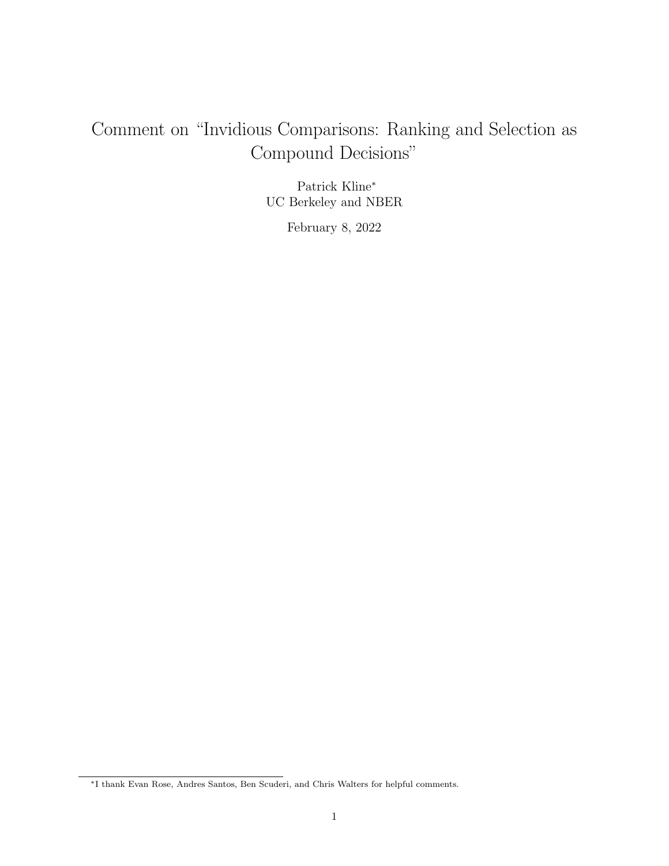# Comment on "Invidious Comparisons: Ranking and Selection as Compound Decisions"

Patrick Kline<sup>∗</sup> UC Berkeley and NBER

February 8, 2022

<sup>∗</sup>I thank Evan Rose, Andres Santos, Ben Scuderi, and Chris Walters for helpful comments.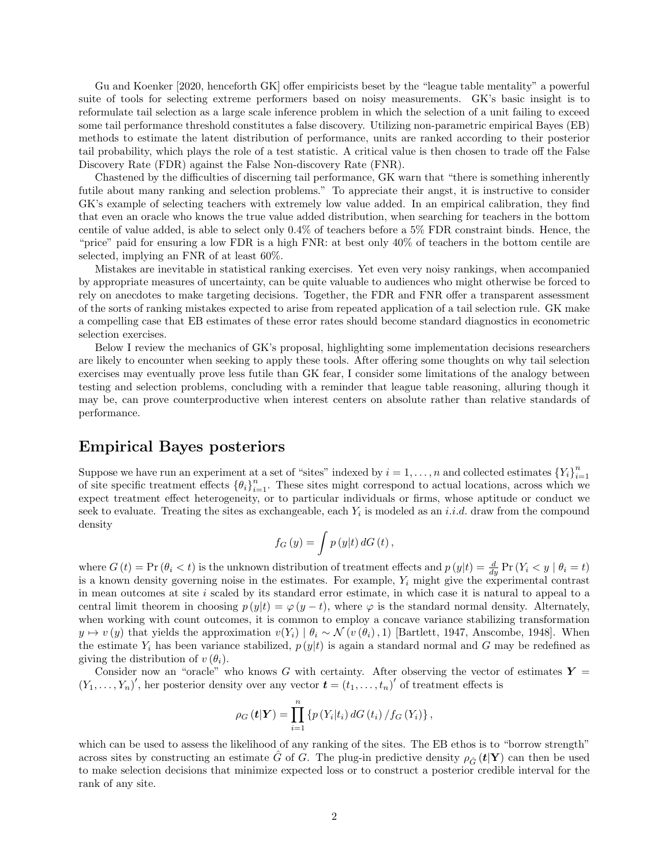Gu and Koenker [2020, henceforth GK] offer empiricists beset by the "league table mentality" a powerful suite of tools for selecting extreme performers based on noisy measurements. GK's basic insight is to reformulate tail selection as a large scale inference problem in which the selection of a unit failing to exceed some tail performance threshold constitutes a false discovery. Utilizing non-parametric empirical Bayes (EB) methods to estimate the latent distribution of performance, units are ranked according to their posterior tail probability, which plays the role of a test statistic. A critical value is then chosen to trade off the False Discovery Rate (FDR) against the False Non-discovery Rate (FNR).

Chastened by the difficulties of discerning tail performance, GK warn that "there is something inherently futile about many ranking and selection problems." To appreciate their angst, it is instructive to consider GK's example of selecting teachers with extremely low value added. In an empirical calibration, they find that even an oracle who knows the true value added distribution, when searching for teachers in the bottom centile of value added, is able to select only 0.4% of teachers before a 5% FDR constraint binds. Hence, the "price" paid for ensuring a low FDR is a high FNR: at best only 40% of teachers in the bottom centile are selected, implying an FNR of at least 60%.

Mistakes are inevitable in statistical ranking exercises. Yet even very noisy rankings, when accompanied by appropriate measures of uncertainty, can be quite valuable to audiences who might otherwise be forced to rely on anecdotes to make targeting decisions. Together, the FDR and FNR offer a transparent assessment of the sorts of ranking mistakes expected to arise from repeated application of a tail selection rule. GK make a compelling case that EB estimates of these error rates should become standard diagnostics in econometric selection exercises.

Below I review the mechanics of GK's proposal, highlighting some implementation decisions researchers are likely to encounter when seeking to apply these tools. After offering some thoughts on why tail selection exercises may eventually prove less futile than GK fear, I consider some limitations of the analogy between testing and selection problems, concluding with a reminder that league table reasoning, alluring though it may be, can prove counterproductive when interest centers on absolute rather than relative standards of performance.

## Empirical Bayes posteriors

Suppose we have run an experiment at a set of "sites" indexed by  $i = 1, ..., n$  and collected estimates  ${Y_i}_{i=1}^n$ of site specific treatment effects  $\{\theta_i\}_{i=1}^n$ . These sites might correspond to actual locations, across which we expect treatment effect heterogeneity, or to particular individuals or firms, whose aptitude or conduct we seek to evaluate. Treating the sites as exchangeable, each  $Y_i$  is modeled as an *i.i.d.* draw from the compound density

$$
f_G(y) = \int p(y|t) dG(t),
$$

where  $G(t) = \Pr(\theta_i < t)$  is the unknown distribution of treatment effects and  $p(y|t) = \frac{d}{dy} \Pr(Y_i < y \mid \theta_i = t)$ is a known density governing noise in the estimates. For example,  $Y_i$  might give the experimental contrast in mean outcomes at site  $i$  scaled by its standard error estimate, in which case it is natural to appeal to a central limit theorem in choosing  $p(y|t) = \varphi(y-t)$ , where  $\varphi$  is the standard normal density. Alternately, when working with count outcomes, it is common to employ a concave variance stabilizing transformation  $y \mapsto v(y)$  that yields the approximation  $v(Y_i) | \theta_i \sim \mathcal{N}(v(\theta_i), 1)$  [Bartlett, 1947, Anscombe, 1948]. When the estimate  $Y_i$  has been variance stabilized,  $p(y|t)$  is again a standard normal and G may be redefined as giving the distribution of  $v(\theta_i)$ .

Consider now an "oracle" who knows G with certainty. After observing the vector of estimates  $Y =$  $(Y_1,\ldots,Y_n)'$ , her posterior density over any vector  $\boldsymbol{t}=(t_1,\ldots,t_n)'$  of treatment effects is

$$
\rho_G (t|Y) = \prod_{i=1}^n \{ p(Y_i|t_i) dG(t_i) / f_G(Y_i) \},
$$

which can be used to assess the likelihood of any ranking of the sites. The EB ethos is to "borrow strength" across sites by constructing an estimate  $\hat{G}$  of G. The plug-in predictive density  $\rho_{\hat{G}}(\mathbf{t}|\mathbf{Y})$  can then be used to make selection decisions that minimize expected loss or to construct a posterior credible interval for the rank of any site.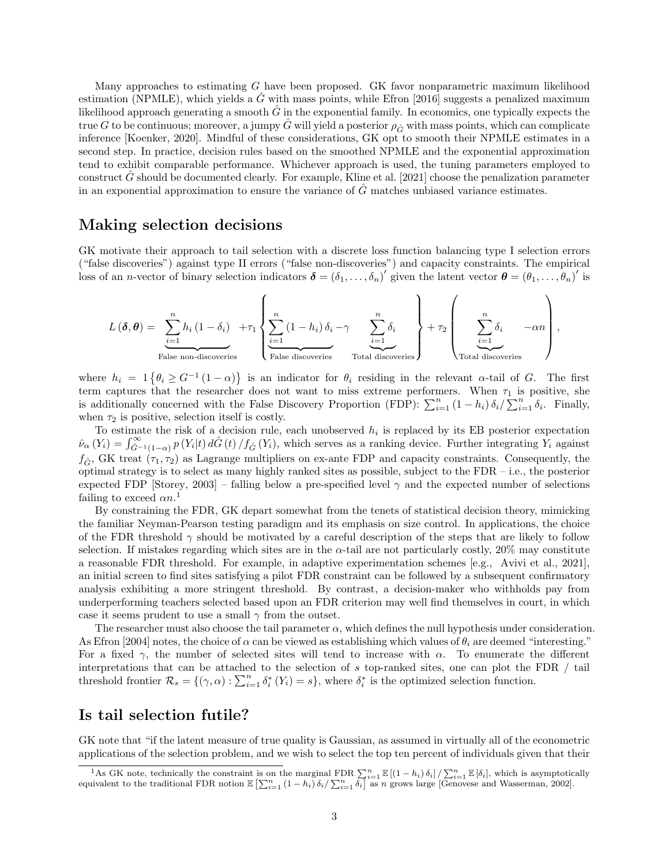Many approaches to estimating G have been proposed. GK favor nonparametric maximum likelihood estimation (NPMLE), which yields a  $\hat{G}$  with mass points, while Efron [2016] suggests a penalized maximum likelihood approach generating a smooth  $\tilde{G}$  in the exponential family. In economics, one typically expects the true G to be continuous; moreover, a jumpy  $\hat{G}$  will yield a posterior  $\rho_{\hat{G}}$  with mass points, which can complicate inference [Koenker, 2020]. Mindful of these considerations, GK opt to smooth their NPMLE estimates in a second step. In practice, decision rules based on the smoothed NPMLE and the exponential approximation tend to exhibit comparable performance. Whichever approach is used, the tuning parameters employed to construct  $\tilde{G}$  should be documented clearly. For example, Kline et al. [2021] choose the penalization parameter in an exponential approximation to ensure the variance of  $G$  matches unbiased variance estimates.

#### Making selection decisions

GK motivate their approach to tail selection with a discrete loss function balancing type I selection errors ("false discoveries") against type II errors ("false non-discoveries") and capacity constraints. The empirical loss of an *n*-vector of binary selection indicators  $\boldsymbol{\delta} = (\delta_1, \ldots, \delta_n)'$  given the latent vector  $\boldsymbol{\theta} = (\theta_1, \ldots, \theta_n)'$  is

$$
L(\boldsymbol{\delta}, \boldsymbol{\theta}) = \sum_{\substack{i=1 \ \text{False non-discoveries}}}^{n} h_i (1 - \delta_i) + \tau_1 \left\{ \sum_{\substack{i=1 \ \text{False disjoint}}}}^{n} (1 - h_i) \delta_i - \gamma \sum_{\substack{i=1 \ \text{Total discoveries}}}}^{n} \delta_i + \tau_2 \left( \sum_{\substack{i=1 \ \text{Total discoveries}} }^{n} \delta_i - \alpha n \right),
$$

where  $h_i = 1$  { $\theta_i \ge G^{-1}(1-\alpha)$ } is an indicator for  $\theta_i$  residing in the relevant  $\alpha$ -tail of G. The first term captures that the researcher does not want to miss extreme performers. When  $\tau_1$  is positive, she is additionally concerned with the False Discovery Proportion (FDP):  $\sum_{i=1}^{n} (1-h_i) \delta_i / \sum_{i=1}^{n} \delta_i$ . Finally, when  $\tau_2$  is positive, selection itself is costly.

To estimate the risk of a decision rule, each unobserved  $h_i$  is replaced by its EB posterior expectation  $\hat{\nu}_{\alpha}(Y_i) = \int_{\hat{G}^{-1}(1-\alpha)}^{\infty} p(Y_i|t) d\hat{G}(t)/f_{\hat{G}}(Y_i)$ , which serves as a ranking device. Further integrating  $Y_i$  against  $f_{\hat{G}}$ , GK treat  $(\tau_1, \tau_2)$  as Lagrange multipliers on ex-ante FDP and capacity constraints. Consequently, the optimal strategy is to select as many highly ranked sites as possible, subject to the FDR – i.e., the posterior expected FDP [Storey, 2003] – falling below a pre-specified level  $\gamma$  and the expected number of selections failing to exceed  $\alpha n$ <sup>1</sup>

By constraining the FDR, GK depart somewhat from the tenets of statistical decision theory, mimicking the familiar Neyman-Pearson testing paradigm and its emphasis on size control. In applications, the choice of the FDR threshold  $\gamma$  should be motivated by a careful description of the steps that are likely to follow selection. If mistakes regarding which sites are in the  $\alpha$ -tail are not particularly costly, 20% may constitute a reasonable FDR threshold. For example, in adaptive experimentation schemes [e.g., Avivi et al., 2021], an initial screen to find sites satisfying a pilot FDR constraint can be followed by a subsequent confirmatory analysis exhibiting a more stringent threshold. By contrast, a decision-maker who withholds pay from underperforming teachers selected based upon an FDR criterion may well find themselves in court, in which case it seems prudent to use a small  $\gamma$  from the outset.

The researcher must also choose the tail parameter  $\alpha$ , which defines the null hypothesis under consideration. As Efron [2004] notes, the choice of  $\alpha$  can be viewed as establishing which values of  $\theta_i$  are deemed "interesting." For a fixed  $\gamma$ , the number of selected sites will tend to increase with  $\alpha$ . To enumerate the different interpretations that can be attached to the selection of s top-ranked sites, one can plot the FDR / tail threshold frontier  $\mathcal{R}_s = \{(\gamma, \alpha) : \sum_{i=1}^n \delta_i^*(Y_i) = s\}$ , where  $\delta_i^*$  is the optimized selection function.

#### Is tail selection futile?

GK note that "if the latent measure of true quality is Gaussian, as assumed in virtually all of the econometric applications of the selection problem, and we wish to select the top ten percent of individuals given that their

<sup>&</sup>lt;sup>1</sup>As GK note, technically the constraint is on the marginal FDR  $\sum_{i=1}^{n} \mathbb{E}[(1-h_i)\delta_i] / \sum_{i=1}^{n} \mathbb{E}[\delta_i]$ , which is asymptotically equivalent to the traditional FDR notion  $\mathbb{E}[\sum_{i=1}^{n} (1-h_i)\delta_i] \sum_{i=1}^{n} \delta_i]$  a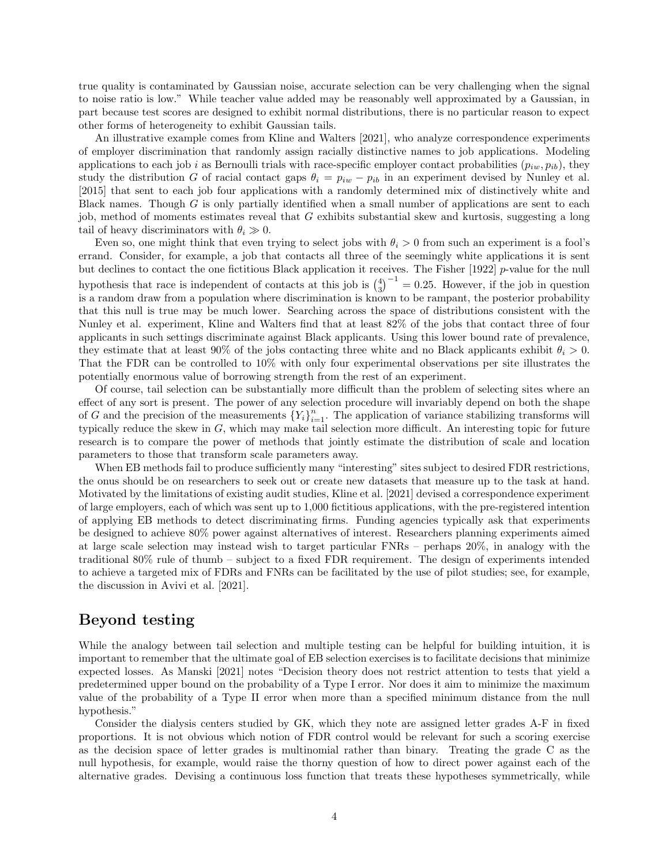true quality is contaminated by Gaussian noise, accurate selection can be very challenging when the signal to noise ratio is low." While teacher value added may be reasonably well approximated by a Gaussian, in part because test scores are designed to exhibit normal distributions, there is no particular reason to expect other forms of heterogeneity to exhibit Gaussian tails.

An illustrative example comes from Kline and Walters [2021], who analyze correspondence experiments of employer discrimination that randomly assign racially distinctive names to job applications. Modeling applications to each job i as Bernoulli trials with race-specific employer contact probabilities  $(p_{iw}, p_{ib})$ , they study the distribution G of racial contact gaps  $\theta_i = p_{iw} - p_{ib}$  in an experiment devised by Nunley et al. [2015] that sent to each job four applications with a randomly determined mix of distinctively white and Black names. Though  $G$  is only partially identified when a small number of applications are sent to each job, method of moments estimates reveal that G exhibits substantial skew and kurtosis, suggesting a long tail of heavy discriminators with  $\theta_i \gg 0$ .

Even so, one might think that even trying to select jobs with  $\theta_i > 0$  from such an experiment is a fool's errand. Consider, for example, a job that contacts all three of the seemingly white applications it is sent but declines to contact the one fictitious Black application it receives. The Fisher  $[1922]$  p-value for the null hypothesis that race is independent of contacts at this job is  $\binom{4}{3}^{-1} = 0.25$ . However, if the job in question is a random draw from a population where discrimination is known to be rampant, the posterior probability that this null is true may be much lower. Searching across the space of distributions consistent with the Nunley et al. experiment, Kline and Walters find that at least 82% of the jobs that contact three of four applicants in such settings discriminate against Black applicants. Using this lower bound rate of prevalence, they estimate that at least 90% of the jobs contacting three white and no Black applicants exhibit  $\theta_i > 0$ . That the FDR can be controlled to 10% with only four experimental observations per site illustrates the potentially enormous value of borrowing strength from the rest of an experiment.

Of course, tail selection can be substantially more difficult than the problem of selecting sites where an effect of any sort is present. The power of any selection procedure will invariably depend on both the shape of G and the precision of the measurements  ${Y_i}_{i=1}^n$ . The application of variance stabilizing transforms will typically reduce the skew in G, which may make tail selection more difficult. An interesting topic for future research is to compare the power of methods that jointly estimate the distribution of scale and location parameters to those that transform scale parameters away.

When EB methods fail to produce sufficiently many "interesting" sites subject to desired FDR restrictions, the onus should be on researchers to seek out or create new datasets that measure up to the task at hand. Motivated by the limitations of existing audit studies, Kline et al. [2021] devised a correspondence experiment of large employers, each of which was sent up to 1,000 fictitious applications, with the pre-registered intention of applying EB methods to detect discriminating firms. Funding agencies typically ask that experiments be designed to achieve 80% power against alternatives of interest. Researchers planning experiments aimed at large scale selection may instead wish to target particular FNRs – perhaps 20%, in analogy with the traditional 80% rule of thumb – subject to a fixed FDR requirement. The design of experiments intended to achieve a targeted mix of FDRs and FNRs can be facilitated by the use of pilot studies; see, for example, the discussion in Avivi et al. [2021].

#### Beyond testing

While the analogy between tail selection and multiple testing can be helpful for building intuition, it is important to remember that the ultimate goal of EB selection exercises is to facilitate decisions that minimize expected losses. As Manski [2021] notes "Decision theory does not restrict attention to tests that yield a predetermined upper bound on the probability of a Type I error. Nor does it aim to minimize the maximum value of the probability of a Type II error when more than a specified minimum distance from the null hypothesis."

Consider the dialysis centers studied by GK, which they note are assigned letter grades A-F in fixed proportions. It is not obvious which notion of FDR control would be relevant for such a scoring exercise as the decision space of letter grades is multinomial rather than binary. Treating the grade C as the null hypothesis, for example, would raise the thorny question of how to direct power against each of the alternative grades. Devising a continuous loss function that treats these hypotheses symmetrically, while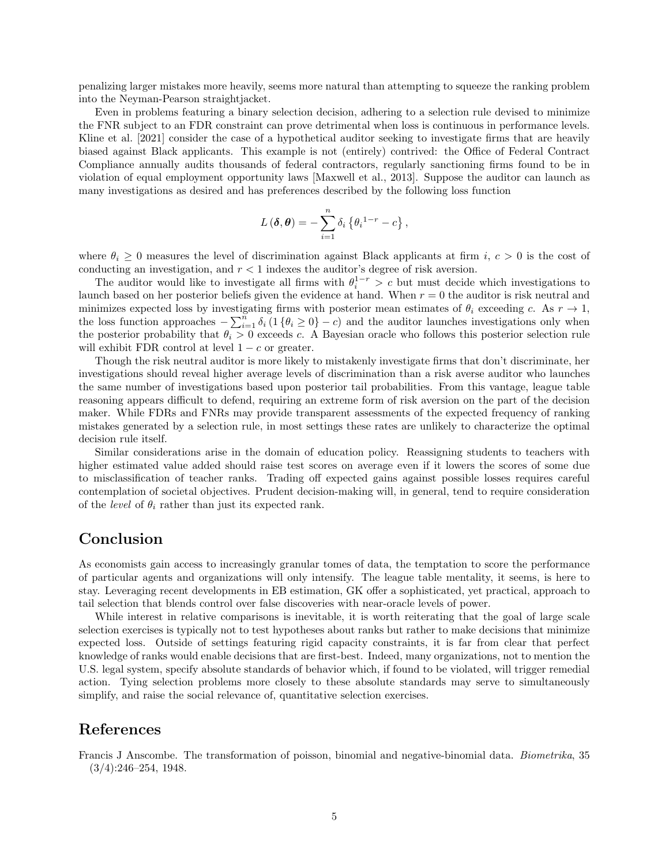penalizing larger mistakes more heavily, seems more natural than attempting to squeeze the ranking problem into the Neyman-Pearson straightjacket.

Even in problems featuring a binary selection decision, adhering to a selection rule devised to minimize the FNR subject to an FDR constraint can prove detrimental when loss is continuous in performance levels. Kline et al. [2021] consider the case of a hypothetical auditor seeking to investigate firms that are heavily biased against Black applicants. This example is not (entirely) contrived: the Office of Federal Contract Compliance annually audits thousands of federal contractors, regularly sanctioning firms found to be in violation of equal employment opportunity laws [Maxwell et al., 2013]. Suppose the auditor can launch as many investigations as desired and has preferences described by the following loss function

$$
L(\boldsymbol{\delta},\boldsymbol{\theta})=-\sum_{i=1}^n\delta_i\left\{\theta_i^{1-r}-c\right\},\,
$$

where  $\theta_i \geq 0$  measures the level of discrimination against Black applicants at firm i,  $c > 0$  is the cost of conducting an investigation, and  $r < 1$  indexes the auditor's degree of risk aversion.

The auditor would like to investigate all firms with  $\theta_i^{1-r} > c$  but must decide which investigations to launch based on her posterior beliefs given the evidence at hand. When  $r = 0$  the auditor is risk neutral and minimizes expected loss by investigating firms with posterior mean estimates of  $\theta_i$  exceeding c. As  $r \to 1$ , the loss function approaches  $-\sum_{i=1}^n \delta_i (1 \{\theta_i \geq 0\} - c)$  and the auditor launches investigations only when the posterior probability that  $\theta_i > 0$  exceeds c. A Bayesian oracle who follows this posterior selection rule will exhibit FDR control at level  $1 - c$  or greater.

Though the risk neutral auditor is more likely to mistakenly investigate firms that don't discriminate, her investigations should reveal higher average levels of discrimination than a risk averse auditor who launches the same number of investigations based upon posterior tail probabilities. From this vantage, league table reasoning appears difficult to defend, requiring an extreme form of risk aversion on the part of the decision maker. While FDRs and FNRs may provide transparent assessments of the expected frequency of ranking mistakes generated by a selection rule, in most settings these rates are unlikely to characterize the optimal decision rule itself.

Similar considerations arise in the domain of education policy. Reassigning students to teachers with higher estimated value added should raise test scores on average even if it lowers the scores of some due to misclassification of teacher ranks. Trading off expected gains against possible losses requires careful contemplation of societal objectives. Prudent decision-making will, in general, tend to require consideration of the *level* of  $\theta_i$  rather than just its expected rank.

## Conclusion

As economists gain access to increasingly granular tomes of data, the temptation to score the performance of particular agents and organizations will only intensify. The league table mentality, it seems, is here to stay. Leveraging recent developments in EB estimation, GK offer a sophisticated, yet practical, approach to tail selection that blends control over false discoveries with near-oracle levels of power.

While interest in relative comparisons is inevitable, it is worth reiterating that the goal of large scale selection exercises is typically not to test hypotheses about ranks but rather to make decisions that minimize expected loss. Outside of settings featuring rigid capacity constraints, it is far from clear that perfect knowledge of ranks would enable decisions that are first-best. Indeed, many organizations, not to mention the U.S. legal system, specify absolute standards of behavior which, if found to be violated, will trigger remedial action. Tying selection problems more closely to these absolute standards may serve to simultaneously simplify, and raise the social relevance of, quantitative selection exercises.

### References

Francis J Anscombe. The transformation of poisson, binomial and negative-binomial data. Biometrika, 35 (3/4):246–254, 1948.